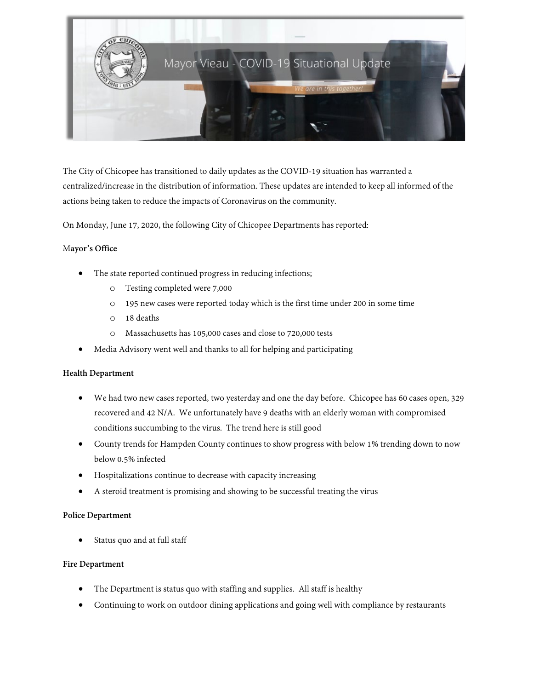

The City of Chicopee has transitioned to daily updates as the COVID-19 situation has warranted a centralized/increase in the distribution of information. These updates are intended to keep all informed of the actions being taken to reduce the impacts of Coronavirus on the community.

On Monday, June 17, 2020, the following City of Chicopee Departments has reported:

## M**ayor's Office**

- The state reported continued progress in reducing infections;
	- o Testing completed were 7,000
	- o 195 new cases were reported today which is the first time under 200 in some time
	- o 18 deaths
	- o Massachusetts has 105,000 cases and close to 720,000 tests
- Media Advisory went well and thanks to all for helping and participating

## **Health Department**

- We had two new cases reported, two yesterday and one the day before. Chicopee has 60 cases open, 329 recovered and 42 N/A. We unfortunately have 9 deaths with an elderly woman with compromised conditions succumbing to the virus. The trend here is still good
- County trends for Hampden County continues to show progress with below 1% trending down to now below 0.5% infected
- Hospitalizations continue to decrease with capacity increasing
- A steroid treatment is promising and showing to be successful treating the virus

## **Police Department**

Status quo and at full staff

## **Fire Department**

- The Department is status quo with staffing and supplies. All staff is healthy
- Continuing to work on outdoor dining applications and going well with compliance by restaurants